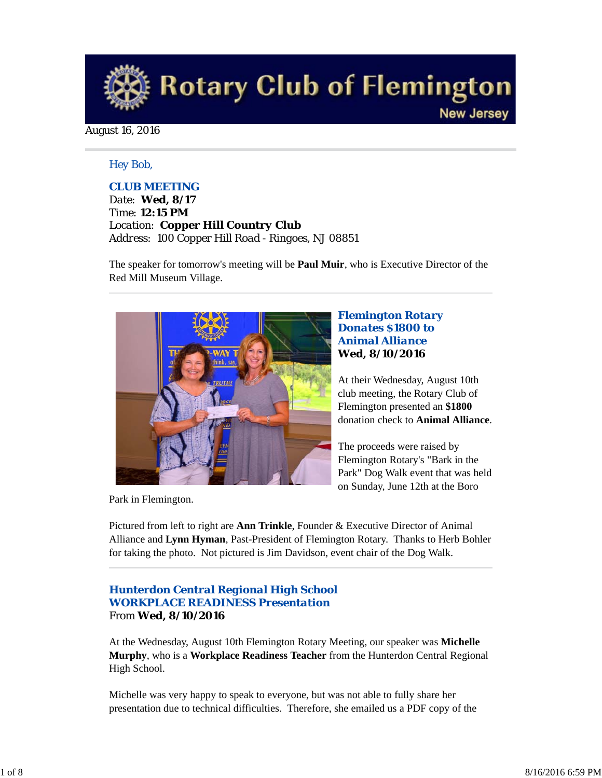

August 16, 2016

### *Hey Bob,*

### *CLUB MEETING*

*Date: Wed, 8/17 Time: 12:15 PM Location: Copper Hill Country Club Address: 100 Copper Hill Road - Ringoes, NJ 08851*

The speaker for tomorrow's meeting will be **Paul Muir**, who is Executive Director of the Red Mill Museum Village.



### *Flemington Rotary Donates \$1800 to Animal Alliance* **Wed, 8/10/2016**

At their Wednesday, August 10th club meeting, the Rotary Club of Flemington presented an **\$1800** donation check to **Animal Alliance**.

The proceeds were raised by Flemington Rotary's "Bark in the Park" Dog Walk event that was held on Sunday, June 12th at the Boro

Park in Flemington.

Pictured from left to right are **Ann Trinkle**, Founder & Executive Director of Animal Alliance and **Lynn Hyman**, Past-President of Flemington Rotary. Thanks to Herb Bohler for taking the photo. Not pictured is Jim Davidson, event chair of the Dog Walk.

### *Hunterdon Central Regional High School WORKPLACE READINESS Presentation* From **Wed, 8/10/2016**

At the Wednesday, August 10th Flemington Rotary Meeting, our speaker was **Michelle Murphy**, who is a **Workplace Readiness Teacher** from the Hunterdon Central Regional High School.

Michelle was very happy to speak to everyone, but was not able to fully share her presentation due to technical difficulties. Therefore, she emailed us a PDF copy of the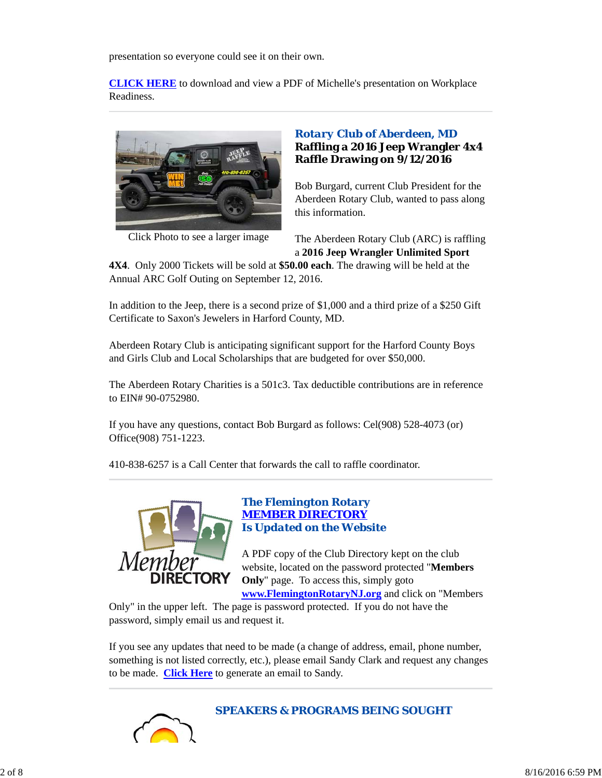presentation so everyone could see it on their own.

**CLICK HERE** to download and view a PDF of Michelle's presentation on Workplace Readiness.



Click Photo to see a larger image

# *Rotary Club of Aberdeen, MD* **Raffling a 2016 Jeep Wrangler 4x4 Raffle Drawing on 9/12/2016**

Bob Burgard, current Club President for the Aberdeen Rotary Club, wanted to pass along this information.

The Aberdeen Rotary Club (ARC) is raffling a **2016 Jeep Wrangler Unlimited Sport**

**4X4**. Only 2000 Tickets will be sold at **\$50.00 each**. The drawing will be held at the Annual ARC Golf Outing on September 12, 2016.

In addition to the Jeep, there is a second prize of \$1,000 and a third prize of a \$250 Gift Certificate to Saxon's Jewelers in Harford County, MD.

Aberdeen Rotary Club is anticipating significant support for the Harford County Boys and Girls Club and Local Scholarships that are budgeted for over \$50,000.

The Aberdeen Rotary Charities is a 501c3. Tax deductible contributions are in reference to EIN# 90-0752980.

If you have any questions, contact Bob Burgard as follows: Cel(908) 528-4073 (or) Office(908) 751-1223.

410-838-6257 is a Call Center that forwards the call to raffle coordinator.



### *The Flemington Rotary MEMBER DIRECTORY Is Updated on the Website*

A PDF copy of the Club Directory kept on the club website, located on the password protected "**Members Only**" page. To access this, simply goto

**www.FlemingtonRotaryNJ.org** and click on "Members

Only" in the upper left. The page is password protected. If you do not have the password, simply email us and request it.

If you see any updates that need to be made (a change of address, email, phone number, something is not listed correctly, etc.), please email Sandy Clark and request any changes to be made. **Click Here** to generate an email to Sandy.



*SPEAKERS & PROGRAMS BEING SOUGHT*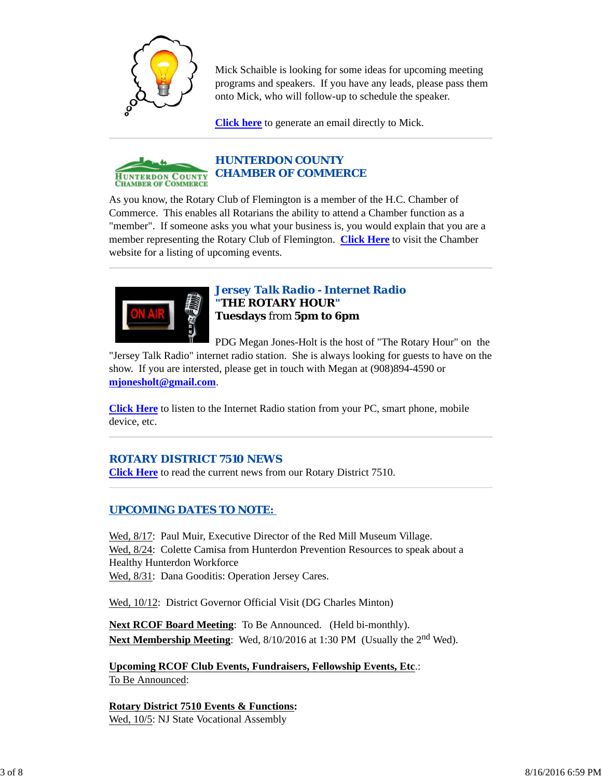

Mick Schaible is looking for some ideas for upcoming meeting programs and speakers. If you have any leads, please pass them onto Mick, who will follow-up to schedule the speaker.

**Click here** to generate an email directly to Mick.



As you know, the Rotary Club of Flemington is a member of the H.C. Chamber of Commerce. This enables all Rotarians the ability to attend a Chamber function as a "member". If someone asks you what your business is, you would explain that you are a member representing the Rotary Club of Flemington. **Click Here** to visit the Chamber website for a listing of upcoming events.



*Jersey Talk Radio - Internet Radio "THE ROTARY HOUR"* **Tuesdays** from **5pm to 6pm**

PDG Megan Jones-Holt is the host of "The Rotary Hour" on the

"Jersey Talk Radio" internet radio station. She is always looking for guests to have on the show. If you are intersted, please get in touch with Megan at (908)894-4590 or **mjonesholt@gmail.com**.

**Click Here** to listen to the Internet Radio station from your PC, smart phone, mobile device, etc.

# *ROTARY DISTRICT 7510 NEWS*

**Click Here** to read the current news from our Rotary District 7510.

## *UPCOMING DATES TO NOTE:*

Wed,  $8/17$ : Paul Muir, Executive Director of the Red Mill Museum Village. Wed,  $8/24$ : Colette Camisa from Hunterdon Prevention Resources to speak about a Healthy Hunterdon Workforce Wed,  $8/31$ : Dana Gooditis: Operation Jersey Cares.

Wed, 10/12: District Governor Official Visit (DG Charles Minton)

**Next RCOF Board Meeting**: To Be Announced. (Held bi-monthly). **Next Membership Meeting:** Wed,  $8/10/2016$  at 1:30 PM (Usually the 2<sup>nd</sup> Wed).

**Upcoming RCOF Club Events, Fundraisers, Fellowship Events, Etc**.: To Be Announced:

**Rotary District 7510 Events & Functions:** Wed, 10/5: NJ State Vocational Assembly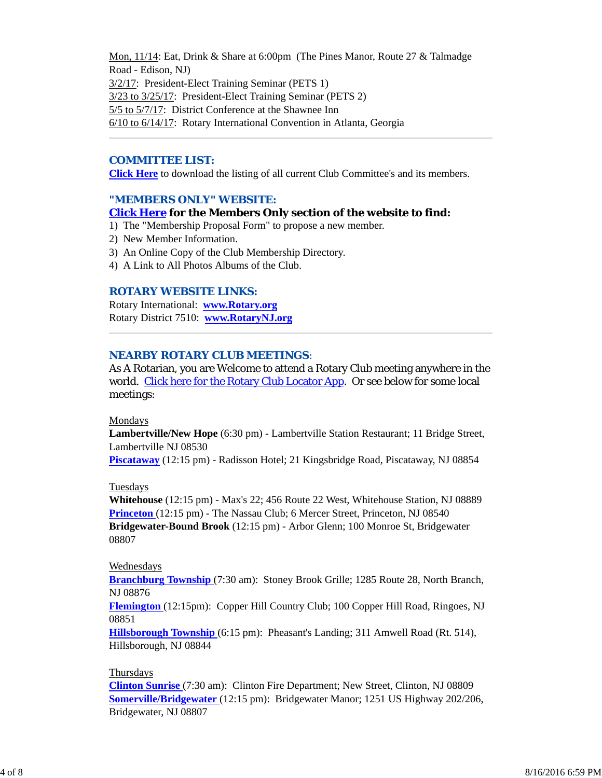Mon, 11/14: Eat, Drink & Share at 6:00pm (The Pines Manor, Route 27 & Talmadge Road - Edison, NJ) 3/2/17: President-Elect Training Seminar (PETS 1) 3/23 to 3/25/17: President-Elect Training Seminar (PETS 2) 5/5 to 5/7/17: District Conference at the Shawnee Inn 6/10 to 6/14/17: Rotary International Convention in Atlanta, Georgia

### *COMMITTEE LIST:*

**Click Here** to download the listing of all current Club Committee's and its members.

#### *"MEMBERS ONLY" WEBSITE:*

#### **Click Here for the Members Only section of the website to find:**

- 1) The "Membership Proposal Form" to propose a new member.
- 2) New Member Information.
- 3) An Online Copy of the Club Membership Directory.
- 4) A Link to All Photos Albums of the Club.

#### *ROTARY WEBSITE LINKS:*

Rotary International: **www.Rotary.org** Rotary District 7510: **www.RotaryNJ.org**

#### *NEARBY ROTARY CLUB MEETINGS:*

As A Rotarian, you are Welcome to attend a Rotary Club meeting anywhere in the world. Click here for the Rotary Club Locator App. Or see below for some local meetings:

#### Mondays

**Lambertville/New Hope** (6:30 pm) - Lambertville Station Restaurant; 11 Bridge Street, Lambertville NJ 08530

**Piscataway** (12:15 pm) - Radisson Hotel; 21 Kingsbridge Road, Piscataway, NJ 08854

#### Tuesdays

**Whitehouse** (12:15 pm) - Max's 22; 456 Route 22 West, Whitehouse Station, NJ 08889 **Princeton** (12:15 pm) - The Nassau Club; 6 Mercer Street, Princeton, NJ 08540 **Bridgewater-Bound Brook** (12:15 pm) - Arbor Glenn; 100 Monroe St, Bridgewater 08807

#### Wednesdays

**Branchburg Township** (7:30 am): Stoney Brook Grille; 1285 Route 28, North Branch, NJ 08876

**Flemington** (12:15pm): Copper Hill Country Club; 100 Copper Hill Road, Ringoes, NJ 08851

**Hillsborough Township** (6:15 pm): Pheasant's Landing; 311 Amwell Road (Rt. 514), Hillsborough, NJ 08844

#### Thursdays

**Clinton Sunrise** (7:30 am): Clinton Fire Department; New Street, Clinton, NJ 08809 **Somerville/Bridgewater** (12:15 pm): Bridgewater Manor; 1251 US Highway 202/206, Bridgewater, NJ 08807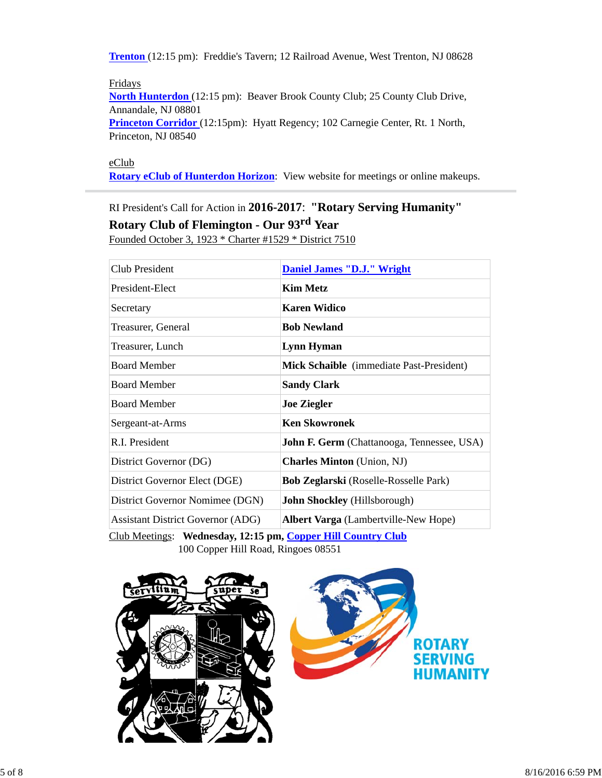**Trenton** (12:15 pm): Freddie's Tavern; 12 Railroad Avenue, West Trenton, NJ 08628

Fridays **North Hunterdon** (12:15 pm): Beaver Brook County Club; 25 County Club Drive, Annandale, NJ 08801 **Princeton Corridor** (12:15pm): Hyatt Regency; 102 Carnegie Center, Rt. 1 North, Princeton, NJ 08540

eClub

**Rotary eClub of Hunterdon Horizon**: View website for meetings or online makeups.

RI President's Call for Action in **2016-2017**: **"Rotary Serving Humanity"**

**Rotary Club of Flemington - Our 93rd Year**

Founded October 3, 1923 \* Charter #1529 \* District 7510

| Club President                           | <b>Daniel James "D.J." Wright</b>            |
|------------------------------------------|----------------------------------------------|
| President-Elect                          | <b>Kim Metz</b>                              |
| Secretary                                | <b>Karen Widico</b>                          |
| Treasurer, General                       | <b>Bob Newland</b>                           |
| Treasurer, Lunch                         | Lynn Hyman                                   |
| <b>Board Member</b>                      | Mick Schaible (immediate Past-President)     |
| <b>Board Member</b>                      | <b>Sandy Clark</b>                           |
| <b>Board Member</b>                      | <b>Joe Ziegler</b>                           |
| Sergeant-at-Arms                         | <b>Ken Skowronek</b>                         |
| R.I. President                           | John F. Germ (Chattanooga, Tennessee, USA)   |
| District Governor (DG)                   | <b>Charles Minton</b> (Union, NJ)            |
| District Governor Elect (DGE)            | <b>Bob Zeglarski</b> (Roselle-Rosselle Park) |
| District Governor Nomimee (DGN)          | <b>John Shockley</b> (Hillsborough)          |
| <b>Assistant District Governor (ADG)</b> | <b>Albert Varga</b> (Lambertville-New Hope)  |
|                                          |                                              |

Club Meetings: **Wednesday, 12:15 pm, Copper Hill Country Club** 100 Copper Hill Road, Ringoes 08551

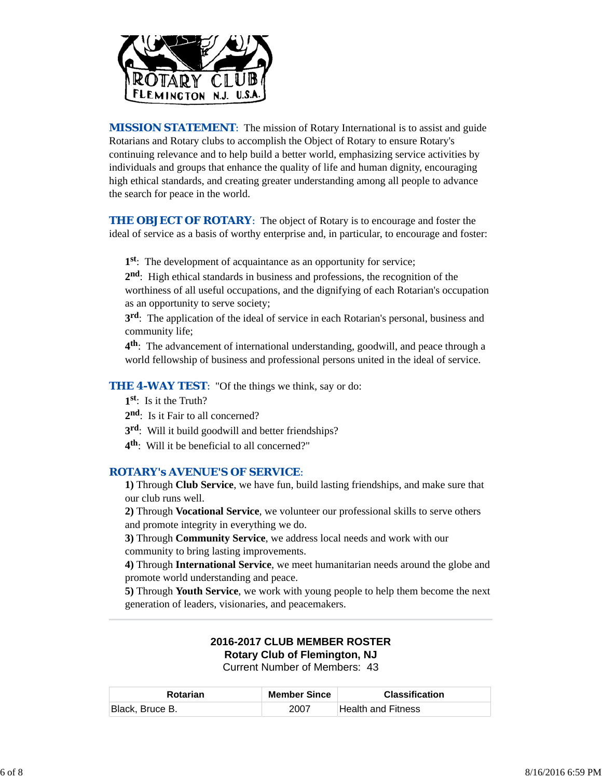

*MISSION STATEMENT*: The mission of Rotary International is to assist and guide Rotarians and Rotary clubs to accomplish the Object of Rotary to ensure Rotary's continuing relevance and to help build a better world, emphasizing service activities by individuals and groups that enhance the quality of life and human dignity, encouraging high ethical standards, and creating greater understanding among all people to advance the search for peace in the world.

**THE OBJECT OF ROTARY:** The object of Rotary is to encourage and foster the ideal of service as a basis of worthy enterprise and, in particular, to encourage and foster:

**1st**: The development of acquaintance as an opportunity for service;

**2nd**: High ethical standards in business and professions, the recognition of the worthiness of all useful occupations, and the dignifying of each Rotarian's occupation as an opportunity to serve society;

**3rd**: The application of the ideal of service in each Rotarian's personal, business and community life;

**4th**: The advancement of international understanding, goodwill, and peace through a world fellowship of business and professional persons united in the ideal of service.

**THE 4-WAY TEST:** "Of the things we think, say or do:

- **1st**: Is it the Truth?
- 2<sup>nd</sup>: Is it Fair to all concerned?
- **3rd**: Will it build goodwill and better friendships?
- **4th**: Will it be beneficial to all concerned?"

#### *ROTARY's AVENUE'S OF SERVICE*:

**1)** Through **Club Service**, we have fun, build lasting friendships, and make sure that our club runs well.

**2)** Through **Vocational Service**, we volunteer our professional skills to serve others and promote integrity in everything we do.

**3)** Through **Community Service**, we address local needs and work with our community to bring lasting improvements.

**4)** Through **International Service**, we meet humanitarian needs around the globe and promote world understanding and peace.

**5)** Through **Youth Service**, we work with young people to help them become the next generation of leaders, visionaries, and peacemakers.

# **2016-2017 CLUB MEMBER ROSTER Rotary Club of Flemington, NJ**

Current Number of Members: 43

| <b>Rotarian</b> | <b>Member Since</b> | <b>Classification</b> |
|-----------------|---------------------|-----------------------|
| Black, Bruce B. | 2007                | Health and Fitness    |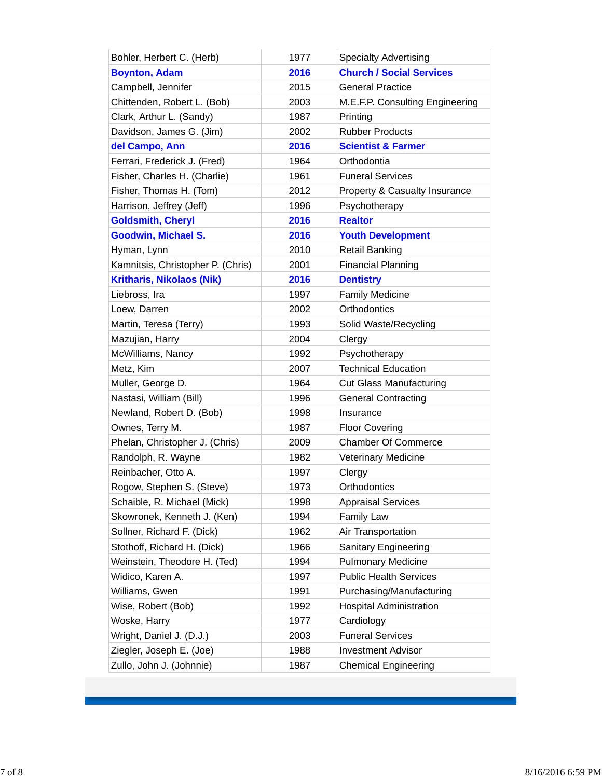| Bohler, Herbert C. (Herb)         | 1977 | <b>Specialty Advertising</b>    |
|-----------------------------------|------|---------------------------------|
| <b>Boynton, Adam</b>              | 2016 | <b>Church / Social Services</b> |
| Campbell, Jennifer                | 2015 | <b>General Practice</b>         |
| Chittenden, Robert L. (Bob)       | 2003 | M.E.F.P. Consulting Engineering |
| Clark, Arthur L. (Sandy)          | 1987 | Printing                        |
| Davidson, James G. (Jim)          | 2002 | <b>Rubber Products</b>          |
| del Campo, Ann                    | 2016 | <b>Scientist &amp; Farmer</b>   |
| Ferrari, Frederick J. (Fred)      | 1964 | Orthodontia                     |
| Fisher, Charles H. (Charlie)      | 1961 | <b>Funeral Services</b>         |
| Fisher, Thomas H. (Tom)           | 2012 | Property & Casualty Insurance   |
| Harrison, Jeffrey (Jeff)          | 1996 | Psychotherapy                   |
| <b>Goldsmith, Cheryl</b>          | 2016 | <b>Realtor</b>                  |
| <b>Goodwin, Michael S.</b>        | 2016 | <b>Youth Development</b>        |
| Hyman, Lynn                       | 2010 | <b>Retail Banking</b>           |
| Kamnitsis, Christopher P. (Chris) | 2001 | <b>Financial Planning</b>       |
| <b>Kritharis, Nikolaos (Nik)</b>  | 2016 | <b>Dentistry</b>                |
| Liebross, Ira                     | 1997 | <b>Family Medicine</b>          |
| Loew, Darren                      | 2002 | Orthodontics                    |
| Martin, Teresa (Terry)            | 1993 | Solid Waste/Recycling           |
| Mazujian, Harry                   | 2004 | Clergy                          |
| McWilliams, Nancy                 | 1992 | Psychotherapy                   |
| Metz, Kim                         | 2007 | <b>Technical Education</b>      |
| Muller, George D.                 | 1964 | <b>Cut Glass Manufacturing</b>  |
| Nastasi, William (Bill)           | 1996 | <b>General Contracting</b>      |
| Newland, Robert D. (Bob)          | 1998 | Insurance                       |
| Ownes, Terry M.                   | 1987 | <b>Floor Covering</b>           |
| Phelan, Christopher J. (Chris)    | 2009 | <b>Chamber Of Commerce</b>      |
| Randolph, R. Wayne                | 1982 | <b>Veterinary Medicine</b>      |
| Reinbacher, Otto A.               | 1997 | Clergy                          |
| Rogow, Stephen S. (Steve)         | 1973 | Orthodontics                    |
| Schaible, R. Michael (Mick)       | 1998 | <b>Appraisal Services</b>       |
| Skowronek, Kenneth J. (Ken)       | 1994 | Family Law                      |
| Sollner, Richard F. (Dick)        | 1962 | Air Transportation              |
| Stothoff, Richard H. (Dick)       | 1966 | <b>Sanitary Engineering</b>     |
| Weinstein, Theodore H. (Ted)      | 1994 | <b>Pulmonary Medicine</b>       |
| Widico, Karen A.                  | 1997 | <b>Public Health Services</b>   |
| Williams, Gwen                    | 1991 | Purchasing/Manufacturing        |
| Wise, Robert (Bob)                | 1992 | <b>Hospital Administration</b>  |
| Woske, Harry                      | 1977 | Cardiology                      |
| Wright, Daniel J. (D.J.)          | 2003 | <b>Funeral Services</b>         |
| Ziegler, Joseph E. (Joe)          | 1988 | <b>Investment Advisor</b>       |
| Zullo, John J. (Johnnie)          | 1987 | <b>Chemical Engineering</b>     |